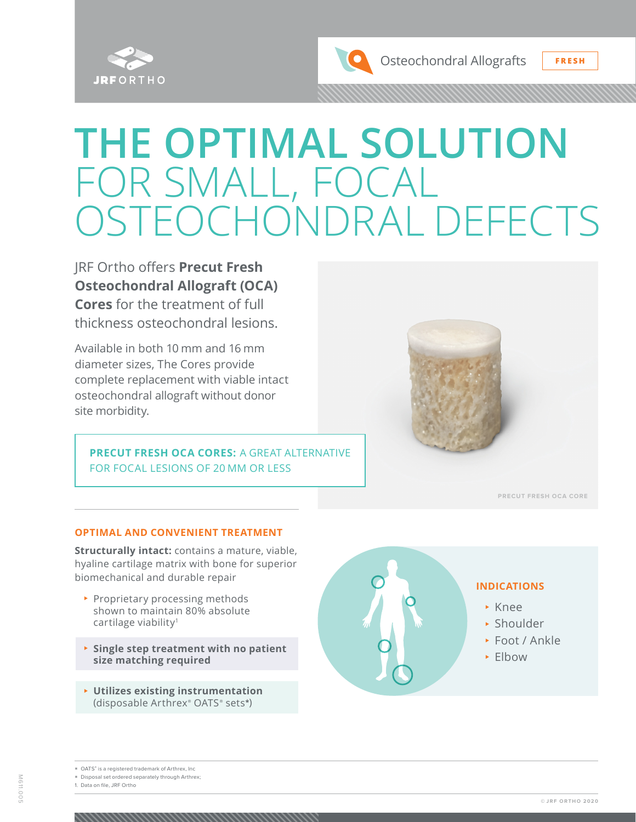

Osteochondral Allografts **FRESH**

# **THE OPTIMAL SOLUTION** FOR SMALL, FOCAL OSTEOCHONDRAL DEFECTS

JRF Ortho offers **Precut Fresh Osteochondral Allograft (OCA) Cores** for the treatment of full thickness osteochondral lesions.

Available in both 10 mm and 16 mm diameter sizes, The Cores provide complete replacement with viable intact osteochondral allograft without donor site morbidity.

**PRECUT FRESH OCA CORES:** A GREAT ALTERNATIVE FOR FOCAL LESIONS OF 20 MM OR LESS



**PRECUT FRESH OCA CORE**

#### **OPTIMAL AND CONVENIENT TREATMENT**

**Structurally intact:** contains a mature, viable, hyaline cartilage matrix with bone for superior biomechanical and durable repair

- ▶ Proprietary processing methods shown to maintain 80% absolute cartilage viability<sup>1</sup>
- <sup>⊲</sup> **Single step treatment with no patient size matching required**
- <sup>⊲</sup> **Utilizes existing instrumentation**  (disposable Arthrex® OATS ® sets**\***)



\* Disposal set ordered separately through Arthrex;

1. Data on file, JRF Ortho